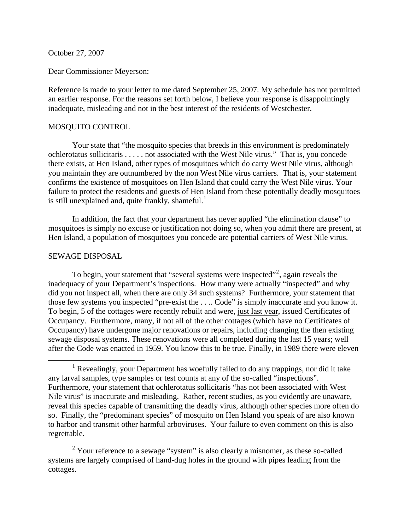October 27, 2007

Dear Commissioner Meyerson:

Reference is made to your letter to me dated September 25, 2007. My schedule has not permitted an earlier response. For the reasons set forth below, I believe your response is disappointingly inadequate, misleading and not in the best interest of the residents of Westchester.

## MOSQUITO CONTROL

Your state that "the mosquito species that breeds in this environment is predominately ochlerotatus sollicitaris . . . . . not associated with the West Nile virus." That is, you concede there exists, at Hen Island, other types of mosquitoes which do carry West Nile virus, although you maintain they are outnumbered by the non West Nile virus carriers. That is, your statement confirms the existence of mosquitoes on Hen Island that could carry the West Nile virus. Your failure to protect the residents and guests of Hen Island from these potentially deadly mosquitoes is still unexplained and, quite frankly, shameful. $1$ 

In addition, the fact that your department has never applied "the elimination clause" to mosquitoes is simply no excuse or justification not doing so, when you admit there are present, at Hen Island, a population of mosquitoes you concede are potential carriers of West Nile virus.

## SEWAGE DISPOSAL

To begin, your statement that "several systems were inspected"<sup>[2](#page-0-1)</sup>, again reveals the inadequacy of your Department's inspections. How many were actually "inspected" and why did you not inspect all, when there are only 34 such systems? Furthermore, your statement that those few systems you inspected "pre-exist the . . .. Code" is simply inaccurate and you know it. To begin, 5 of the cottages were recently rebuilt and were, just last year, issued Certificates of Occupancy. Furthermore, many, if not all of the other cottages (which have no Certificates of Occupancy) have undergone major renovations or repairs, including changing the then existing sewage disposal systems. These renovations were all completed during the last 15 years; well after the Code was enacted in 1959. You know this to be true. Finally, in 1989 there were eleven

<span id="page-0-1"></span> $2$  Your reference to a sewage "system" is also clearly a misnomer, as these so-called systems are largely comprised of hand-dug holes in the ground with pipes leading from the cottages.

<span id="page-0-0"></span><sup>&</sup>lt;u>1</u> <sup>1</sup> Revealingly, your Department has woefully failed to do any trappings, nor did it take any larval samples, type samples or test counts at any of the so-called "inspections". Furthermore, your statement that ochlerotatus sollicitaris "has not been associated with West Nile virus" is inaccurate and misleading. Rather, recent studies, as you evidently are unaware, reveal this species capable of transmitting the deadly virus, although other species more often do so. Finally, the "predominant species" of mosquito on Hen Island you speak of are also known to harbor and transmit other harmful arboviruses. Your failure to even comment on this is also regrettable.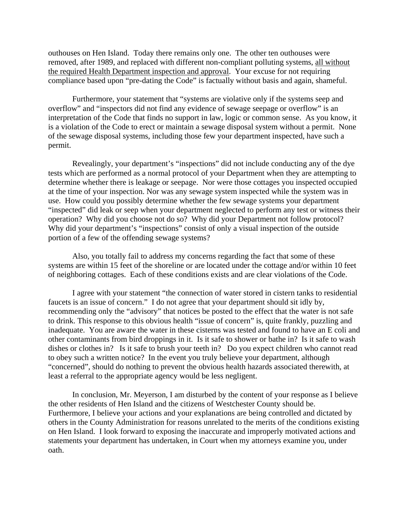outhouses on Hen Island. Today there remains only one. The other ten outhouses were removed, after 1989, and replaced with different non-compliant polluting systems, all without the required Health Department inspection and approval. Your excuse for not requiring compliance based upon "pre-dating the Code" is factually without basis and again, shameful.

Furthermore, your statement that "systems are violative only if the systems seep and overflow" and "inspectors did not find any evidence of sewage seepage or overflow" is an interpretation of the Code that finds no support in law, logic or common sense. As you know, it is a violation of the Code to erect or maintain a sewage disposal system without a permit. None of the sewage disposal systems, including those few your department inspected, have such a permit.

Revealingly, your department's "inspections" did not include conducting any of the dye tests which are performed as a normal protocol of your Department when they are attempting to determine whether there is leakage or seepage. Nor were those cottages you inspected occupied at the time of your inspection. Nor was any sewage system inspected while the system was in use. How could you possibly determine whether the few sewage systems your department "inspected" did leak or seep when your department neglected to perform any test or witness their operation? Why did you choose not do so? Why did your Department not follow protocol? Why did your department's "inspections" consist of only a visual inspection of the outside portion of a few of the offending sewage systems?

Also, you totally fail to address my concerns regarding the fact that some of these systems are within 15 feet of the shoreline or are located under the cottage and/or within 10 feet of neighboring cottages. Each of these conditions exists and are clear violations of the Code.

I agree with your statement "the connection of water stored in cistern tanks to residential faucets is an issue of concern." I do not agree that your department should sit idly by, recommending only the "advisory" that notices be posted to the effect that the water is not safe to drink. This response to this obvious health "issue of concern" is, quite frankly, puzzling and inadequate. You are aware the water in these cisterns was tested and found to have an E coli and other contaminants from bird droppings in it. Is it safe to shower or bathe in? Is it safe to wash dishes or clothes in? Is it safe to brush your teeth in? Do you expect children who cannot read to obey such a written notice? In the event you truly believe your department, although "concerned", should do nothing to prevent the obvious health hazards associated therewith, at least a referral to the appropriate agency would be less negligent.

In conclusion, Mr. Meyerson, I am disturbed by the content of your response as I believe the other residents of Hen Island and the citizens of Westchester County should be. Furthermore, I believe your actions and your explanations are being controlled and dictated by others in the County Administration for reasons unrelated to the merits of the conditions existing on Hen Island. I look forward to exposing the inaccurate and improperly motivated actions and statements your department has undertaken, in Court when my attorneys examine you, under oath.